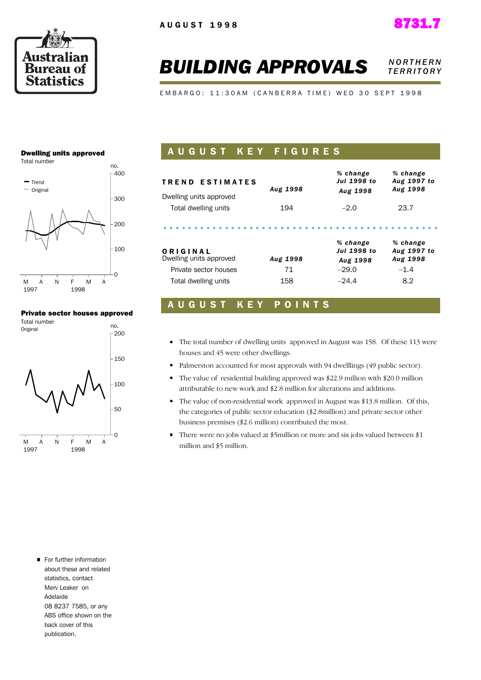

#### **BUILDING APPROVALS NORTHERN** *T E R R I T O R Y*

EMBARGO: 11:30AM (CANBERRA TIME) WED 30 SEPT 1998

#### Dwelling units approved

Total number



#### Private sector houses approved



#### A U G U S T K E Y F I G U R E S

| <b>TREND ESTIMATES</b>  | Aug 1998 | % change<br><b>Jul 1998 to</b> | % change<br>Aug 1997 to<br>Aug 1998 |
|-------------------------|----------|--------------------------------|-------------------------------------|
| Dwelling units approved |          | Aug 1998                       |                                     |
| Total dwelling units    | 194      | $-2.0$                         | 23.7                                |
|                         |          |                                |                                     |
| ORIGINAL                |          | % change<br><b>Jul 1998 to</b> | % change<br>Aug 1997 to             |
| Dwelling units approved | Aug 1998 | Aug 1998                       | Aug 1998                            |
| Private sector houses   | 71       | $-29.0$                        | $-1.4$                              |
| Total dwelling units    | 158      | $-24.4$                        | 8.2                                 |

#### A U G U S T K E Y P O I N T S

- The total number of dwelling units approved in August was 158. Of these 113 were houses and 45 were other dwellings.
- Palmerston accounted for most approvals with 94 dwelllings (49 public sector).
- The value of residential building approved was \$22.9 million with \$20.0 million attributable to new work and \$2.8 million for alterations and additions.
- The value of non-residential work approved in August was \$13.8 million. Of this, the categories of public sector education (\$2.8million) and private sector other business premises (\$2.6 million) contributed the most.
- There were no jobs valued at \$5million or more and six jobs valued between \$1 million and \$5 million.

For further information about these and related statistics, contact Merv Leaker on Adelaide 08 8237 7585, or any ABS office shown on the back cover of this publication.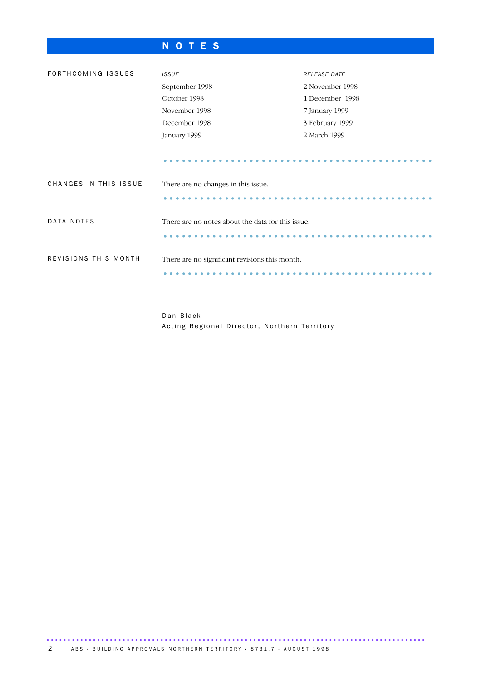### N O T E S

| FORTHCOMING ISSUES    | <b>ISSUE</b>                                      | <b>RELEASE DATE</b> |  |  |  |  |
|-----------------------|---------------------------------------------------|---------------------|--|--|--|--|
|                       |                                                   |                     |  |  |  |  |
|                       | September 1998                                    | 2 November 1998     |  |  |  |  |
|                       | October 1998<br>1 December 1998                   |                     |  |  |  |  |
|                       | November 1998                                     | 7 January 1999      |  |  |  |  |
|                       | December 1998                                     | 3 February 1999     |  |  |  |  |
|                       | January 1999                                      | 2 March 1999        |  |  |  |  |
|                       |                                                   |                     |  |  |  |  |
|                       |                                                   |                     |  |  |  |  |
| CHANGES IN THIS ISSUE | There are no changes in this issue.               |                     |  |  |  |  |
|                       |                                                   |                     |  |  |  |  |
|                       |                                                   |                     |  |  |  |  |
| DATA NOTES            | There are no notes about the data for this issue. |                     |  |  |  |  |
|                       |                                                   |                     |  |  |  |  |
|                       |                                                   |                     |  |  |  |  |
| REVISIONS THIS MONTH  |                                                   |                     |  |  |  |  |
|                       | There are no significant revisions this month.    |                     |  |  |  |  |
|                       |                                                   |                     |  |  |  |  |
|                       |                                                   |                     |  |  |  |  |

Dan Black Acting Regional Director, Northern Territory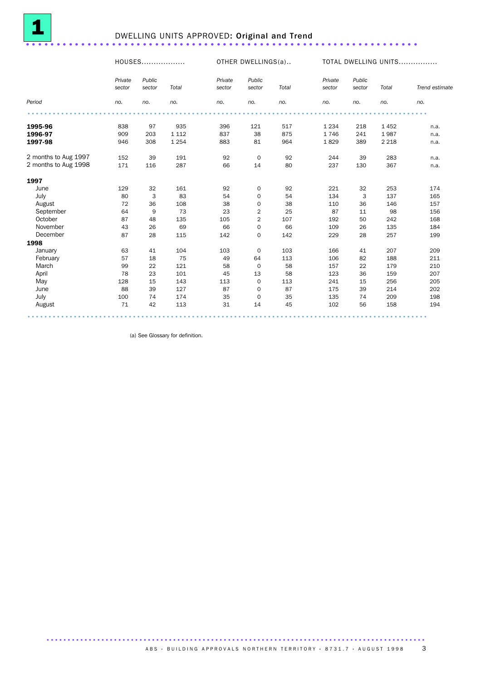

## <sup>1</sup> DWELLING UNITS APPROVED: Original and Trend ................................................................

HOUSES.................. OTHER DWELLINGS(a).. TOTAL DWELLING UNITS................

|                      | Private<br>sector | Public<br>sector | Total   | Private<br>sector | Public<br>sector        | Total | Private<br>sector | Public<br>sector | Total   | Trend estimate |
|----------------------|-------------------|------------------|---------|-------------------|-------------------------|-------|-------------------|------------------|---------|----------------|
| Period               | no.               | no.              | no.     | no.               | no.                     | no.   | no.               | no.              | no.     | no.            |
|                      |                   |                  |         |                   |                         |       |                   |                  |         |                |
| 1995-96              | 838               | 97               | 935     | 396               | 121                     | 517   | 1 2 3 4           | 218              | 1452    | n.a.           |
| 1996-97              | 909               | 203              | 1 1 1 2 | 837               | 38                      | 875   | 1746              | 241              | 1987    | n.a.           |
| 1997-98              | 946               | 308              | 1 2 5 4 | 883               | 81                      | 964   | 1829              | 389              | 2 2 1 8 | n.a.           |
| 2 months to Aug 1997 | 152               | 39               | 191     | 92                | $\mathbf 0$             | 92    | 244               | 39               | 283     | n.a.           |
| 2 months to Aug 1998 | 171               | 116              | 287     | 66                | 14                      | 80    | 237               | 130              | 367     | n.a.           |
| 1997                 |                   |                  |         |                   |                         |       |                   |                  |         |                |
| June                 | 129               | 32               | 161     | 92                | $\mathbf 0$             | 92    | 221               | 32               | 253     | 174            |
| July                 | 80                | 3                | 83      | 54                | $\mathbf 0$             | 54    | 134               | 3                | 137     | 165            |
| August               | 72                | 36               | 108     | 38                | 0                       | 38    | 110               | 36               | 146     | 157            |
| September            | 64                | 9                | 73      | 23                | 2                       | 25    | 87                | 11               | 98      | 156            |
| October              | 87                | 48               | 135     | 105               | $\overline{\mathbf{c}}$ | 107   | 192               | 50               | 242     | 168            |
| November             | 43                | 26               | 69      | 66                | $\mathbf 0$             | 66    | 109               | 26               | 135     | 184            |
| December             | 87                | 28               | 115     | 142               | 0                       | 142   | 229               | 28               | 257     | 199            |
| 1998                 |                   |                  |         |                   |                         |       |                   |                  |         |                |
| January              | 63                | 41               | 104     | 103               | $\mathbf 0$             | 103   | 166               | 41               | 207     | 209            |
| February             | 57                | 18               | 75      | 49                | 64                      | 113   | 106               | 82               | 188     | 211            |
| March                | 99                | 22               | 121     | 58                | $\mathbf 0$             | 58    | 157               | 22               | 179     | 210            |
| April                | 78                | 23               | 101     | 45                | 13                      | 58    | 123               | 36               | 159     | 207            |
| May                  | 128               | 15               | 143     | 113               | $\mathbf 0$             | 113   | 241               | 15               | 256     | 205            |
| June                 | 88                | 39               | 127     | 87                | $\mathbf 0$             | 87    | 175               | 39               | 214     | 202            |
| July                 | 100               | 74               | 174     | 35                | $\mathbf 0$             | 35    | 135               | 74               | 209     | 198            |
| August               | 71                | 42               | 113     | 31                | 14                      | 45    | 102               | 56               | 158     | 194            |

(a) See Glossary for definition.

.......................................................................................... A B S · BUIL DIN G APPROVALS NORTHERN TERRITORY · 8731.7 · AUGUST 1998 3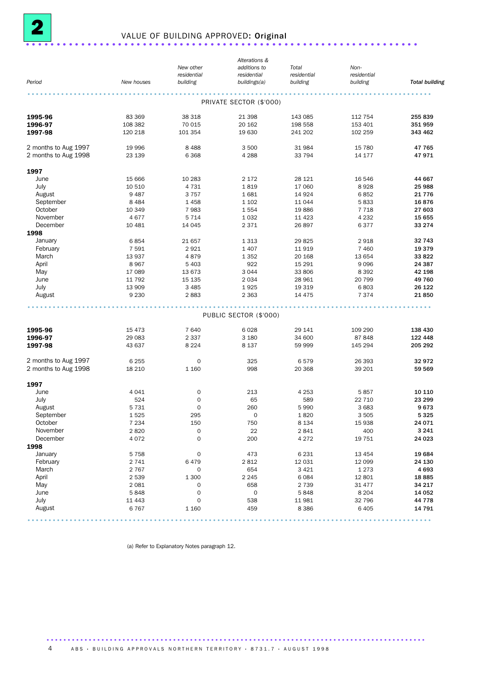

## <sup>2</sup> VALUE OF BUILDING APPROVED: Original ................................................................

|                      |            |                     | Alterations &           |             |             |                       |
|----------------------|------------|---------------------|-------------------------|-------------|-------------|-----------------------|
|                      |            | New other           | additions to            | Total       | Non-        |                       |
|                      |            | residential         | residential             | residential | residential |                       |
| Period               | New houses | building            | buildings(a)            | building    | building    | <b>Total building</b> |
|                      |            |                     | PRIVATE SECTOR (\$'000) |             |             |                       |
|                      | 83 369     |                     | 21 398                  |             |             |                       |
| 1995-96              |            | 38 318              |                         | 143 085     | 112 754     | 255 839               |
| 1996-97              | 108 382    | 70 015              | 20 162                  | 198 558     | 153 401     | 351 959               |
| 1997-98              | 120 218    | 101 354             | 19 630                  | 241 202     | 102 259     | 343 462               |
| 2 months to Aug 1997 | 19 996     | 8488                | 3 500                   | 31 984      | 15 780      | 47 765                |
| 2 months to Aug 1998 | 23 139     | 6 3 6 8             | 4 2 8 8                 | 33 794      | 14 177      | 47971                 |
| 1997                 |            |                     |                         |             |             |                       |
| June                 | 15 6 66    | 10 283              | 2 1 7 2                 | 28 121      | 16 546      | 44 667                |
| July                 | 10 510     | 4 7 3 1             | 1819                    | 17 060      | 8928        | 25 988                |
| August               | 9487       | 3757                | 1681                    | 14 9 24     | 6852        | 21 7 7 6              |
| September            | 8 4 8 4    | 1458                | 1 1 0 2                 | 11 044      | 5833        | 16876                 |
| October              | 10 349     | 7983                | 1554                    | 19886       | 7 7 1 8     | 27 603                |
| November             | 4677       | 5 7 1 4             | 1 0 3 2                 | 11 4 23     | 4 2 3 2     | 15 655                |
| December             | 10 4 81    | 14 045              | 2 3 7 1                 | 26 897      | 6377        | 33 2 7 4              |
| 1998                 |            |                     |                         |             |             |                       |
| January              | 6854       | 21 657              | 1 3 1 3                 | 29825       | 2918        | 32 743                |
|                      |            |                     |                         |             |             |                       |
| February             | 7 5 9 1    | 2921                | 1 4 0 7                 | 11 919      | 7 4 6 0     | 19 3 7 9              |
| March                | 13 937     | 4879                | 1 3 5 2                 | 20 168      | 13 654      | 33 822                |
| April                | 8967       | 5 4 0 3             | 922                     | 15 29 1     | 9 0 9 6     | 24 387                |
| May                  | 17 089     | 13 673              | 3 0 4 4                 | 33 806      | 8 3 9 2     | 42 198                |
| June                 | 11 792     | 15 135              | 2 0 3 4                 | 28 961      | 20 799      | 49 760                |
| July                 | 13 909     | 3 4 8 5             | 1925                    | 19 319      | 6803        | 26 122                |
| August               | 9 2 3 0    | 2883                | 2 3 6 3                 | 14 4 7 5    | 7 3 7 4     | 21850                 |
|                      |            |                     | PUBLIC SECTOR (\$'000)  |             |             |                       |
|                      |            |                     |                         |             |             |                       |
| 1995-96              | 15 4 73    | 7 640               | 6028                    | 29 141      | 109 290     | 138 430               |
| 1996-97              | 29 083     | 2 3 3 7             | 3 1 8 0                 | 34 600      | 87 848      | 122 448               |
| 1997-98              | 43 637     | 8 2 2 4             | 8 1 3 7                 | 59 999      | 145 294     | 205 292               |
| 2 months to Aug 1997 | 6 2 5 5    | 0                   | 325                     | 6579        | 26 393      | 32972                 |
| 2 months to Aug 1998 | 18 210     | 1 1 6 0             | 998                     | 20 368      | 39 201      | 59 569                |
| 1997                 |            |                     |                         |             |             |                       |
| June                 | 4 0 4 1    | 0                   | 213                     | 4 2 5 3     | 5857        | 10 110                |
| July                 | 524        | 0                   | 65                      | 589         | 22 710      | 23 299                |
| August               | 5 7 3 1    | 0                   | 260                     | 5990        | 3 6 8 3     | 9673                  |
| September            | 1525       | 295                 | $\mathbf 0$             | 1820        | 3 5 0 5     | 5 3 2 5               |
| October              | 7 2 3 4    | 150                 | 750                     | 8 1 3 4     | 15 938      | 24 071                |
| November             | 2820       | $\mathsf{O}\xspace$ | 22                      | 2841        | 400         | 3 2 4 1               |
| December             | 4072       | 0                   | 200                     | 4 2 7 2     | 19 751      | 24 0 23               |
|                      |            |                     |                         |             |             |                       |
| 1998                 |            |                     |                         |             |             |                       |
| January              | 5 7 5 8    | 0                   | 473                     | 6 2 3 1     | 13 4 54     | 19 684                |
| February             | 2 7 4 1    | 6479                | 2 8 1 2                 | 12 031      | 12 099      | 24 130                |
| March                | 2 7 6 7    | 0                   | 654                     | 3 4 2 1     | 1 2 7 3     | 4 6 9 3               |
| April                | 2 5 3 9    | 1 300               | 2 2 4 5                 | 6 0 8 4     | 12 801      | 18885                 |
| May                  | 2 0 8 1    | 0                   | 658                     | 2 7 3 9     | 31 477      | 34 217                |
| June                 | 5848       | $\mathsf{O}\xspace$ | $\mathsf{O}\xspace$     | 5848        | 8 2 0 4     | 14 052                |
| July                 | 11 4 4 3   | 0                   | 538                     | 11 981      | 32 796      | 44 7 78               |
| August               | 6767       | 1 1 6 0             | 459                     | 8 3 8 6     | 6 4 0 5     | 14 791                |
|                      |            |                     |                         |             |             |                       |

(a) Refer to Explanatory Notes paragraph 12.

4 ABS · BUILDING APPROVALS NORTHERN TERRITORY · 8731.7 · AUGUST 1998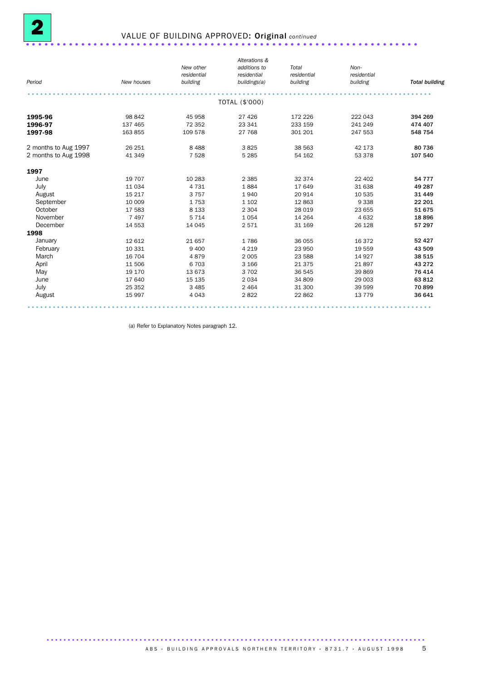

## 2 VALUE OF BUILDING APPROVED: Original *continued* ................................................................

|                      |            |             | Alterations &  |             |             |                       |
|----------------------|------------|-------------|----------------|-------------|-------------|-----------------------|
|                      |            | New other   | additions to   | Total       | Non-        |                       |
|                      |            | residential | residential    | residential | residential |                       |
| Period               | New houses | building    | buildings(a)   | building    | building    | <b>Total building</b> |
|                      |            |             |                |             |             |                       |
|                      |            |             | TOTAL (\$'000) |             |             |                       |
| 1995-96              | 98 842     | 45 958      | 27 4 26        | 172 226     | 222 043     | 394 269               |
| 1996-97              | 137 465    | 72 352      | 23 341         | 233 159     | 241 249     | 474 407               |
| 1997-98              | 163 855    | 109 578     | 27 768         | 301 201     | 247 553     | 548 754               |
| 2 months to Aug 1997 | 26 25 1    | 8 4 8 8     | 3825           | 38 563      | 42 173      | 80 736                |
| 2 months to Aug 1998 | 41 349     | 7 5 28      | 5 2 8 5        | 54 162      | 53 378      | 107 540               |
| 1997                 |            |             |                |             |             |                       |
| June                 | 19 707     | 10 283      | 2 3 8 5        | 32 374      | 22 402      | 54 7 7 7              |
| July                 | 11034      | 4 7 3 1     | 1884           | 17 649      | 31 638      | 49 287                |
| August               | 15 217     | 3 7 5 7     | 1940           | 20 914      | 10 535      | 31 4 4 9              |
| September            | 10 009     | 1753        | 1 1 0 2        | 12 863      | 9 3 3 8     | 22 201                |
| October              | 17 583     | 8 1 3 3     | 2 3 0 4        | 28 0 19     | 23 655      | 51 675                |
| November             | 7497       | 5 7 1 4     | 1 0 5 4        | 14 264      | 4 6 3 2     | 18896                 |
| December             | 14 553     | 14 045      | 2571           | 31 169      | 26 1 28     | 57 297                |
| 1998                 |            |             |                |             |             |                       |
| January              | 12 612     | 21 657      | 1786           | 36 055      | 16 372      | 52 4 2 7              |
| February             | 10 331     | 9 4 0 0     | 4 2 1 9        | 23 950      | 19 559      | 43 509                |
| March                | 16 704     | 4879        | 2 0 0 5        | 23 588      | 14 9 27     | 38 515                |
| April                | 11 506     | 6 703       | 3 1 6 6        | 21 375      | 21897       | 43 27 2               |
| May                  | 19 170     | 13 673      | 3702           | 36 545      | 39 869      | 76 414                |
| June                 | 17 640     | 15 135      | 2034           | 34 809      | 29 003      | 63 812                |
| July                 | 25 35 2    | 3 4 8 5     | 2 4 6 4        | 31 300      | 39 599      | 70899                 |
| August               | 15 9 97    | 4 0 4 3     | 2822           | 22 862      | 13 7 7 9    | 36 641                |

(a) Refer to Explanatory Notes paragraph 12.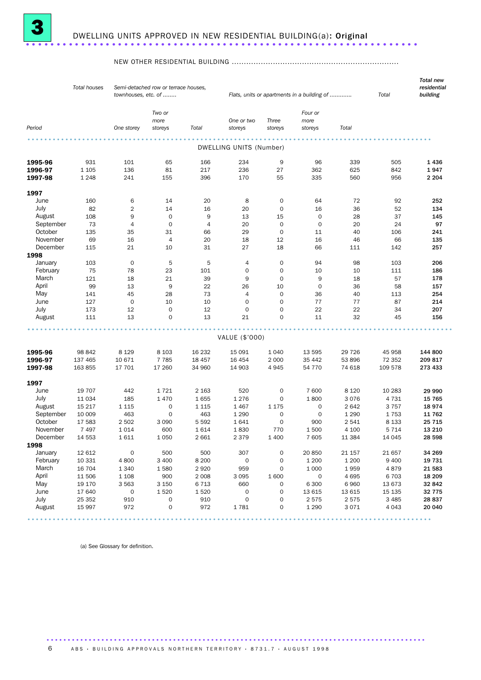

#### NEW OTHER RESIDENTIAL BUILDING .....................................................................

|                | <b>Total houses</b> | townhouses, etc. of                                                                                             | Semi-detached row or terrace houses, |                | Flats, units or apartments in a building of | Total                      | <b>Total new</b><br>residential<br>building |              |                    |                  |
|----------------|---------------------|-----------------------------------------------------------------------------------------------------------------|--------------------------------------|----------------|---------------------------------------------|----------------------------|---------------------------------------------|--------------|--------------------|------------------|
|                |                     |                                                                                                                 | Two or<br>more                       |                | One or two                                  | Three                      | Four or<br>more                             |              |                    |                  |
| Period         |                     | One storey                                                                                                      | storeys                              | Total          | storeys                                     | storeys                    | storeys                                     | Total        |                    |                  |
|                |                     |                                                                                                                 |                                      |                | DWELLING UNITS (Number)                     |                            |                                             |              |                    |                  |
|                |                     |                                                                                                                 |                                      |                |                                             |                            |                                             |              |                    |                  |
| 1995-96        | 931                 | 101                                                                                                             | 65                                   | 166            | 234                                         | 9                          | 96                                          | 339          | 505                | 1436             |
| 1996-97        | 1 1 0 5             | 136                                                                                                             | 81                                   | 217            | 236                                         | 27                         | 362                                         | 625          | 842                | 1947             |
| 1997-98        | 1 2 4 8             | 241                                                                                                             | 155                                  | 396            | 170                                         | 55                         | 335                                         | 560          | 956                | 2 2 0 4          |
| 1997           |                     |                                                                                                                 |                                      |                |                                             |                            |                                             |              |                    |                  |
| June           | 160                 | 6                                                                                                               | 14                                   | 20             | 8                                           | 0                          | 64                                          | 72           | 92                 | 252              |
| July           | 82                  | $\overline{2}$                                                                                                  | 14                                   | 16             | 20                                          | $\mathbf 0$                | 16                                          | 36           | 52                 | 134              |
| August         | 108                 | 9                                                                                                               | $\mathbf 0$                          | 9              | 13                                          | 15                         | $\mathbf 0$                                 | 28           | 37                 | 145              |
| September      | 73                  | $\overline{4}$                                                                                                  | $\mathbf 0$                          | $\overline{4}$ | 20                                          | $\mathbf 0$                | $\mathbf 0$                                 | 20           | 24                 | 97               |
| October        | 135                 | 35                                                                                                              | 31                                   | 66             | 29                                          | 0                          | 11                                          | 40           | 106                | 241              |
| November       | 69                  | 16                                                                                                              | $\overline{4}$                       | 20             | 18                                          | 12                         | 16                                          | 46           | 66                 | 135              |
| December       | 115                 | 21                                                                                                              | 10                                   | 31             | 27                                          | 18                         | 66                                          | 111          | 142                | 257              |
| 1998           |                     |                                                                                                                 |                                      |                |                                             |                            |                                             |              |                    |                  |
| January        | 103                 | $\mathbf 0$                                                                                                     | 5                                    | 5              | 4                                           | 0                          | 94                                          | 98           | 103                | 206              |
| February       | 75                  | 78                                                                                                              | 23                                   | 101            | 0                                           | $\mathbf 0$                | 10                                          | 10           | 111                | 186              |
| March          | 121                 | 18                                                                                                              | 21                                   | 39             | 9                                           | $\mathbf 0$                | 9                                           | 18           | 57                 | 178              |
| April          | 99                  | 13                                                                                                              | 9                                    | 22             | 26                                          | 10                         | $\mathbf 0$                                 | 36           | 58                 | 157              |
| May            | 141                 | 45                                                                                                              | 28                                   | 73             | $\overline{4}$                              | $\mathbf 0$                | 36                                          | 40           | 113                | 254              |
| June           | 127                 | $\mathbf 0$                                                                                                     | 10                                   | 10             | $\mathbf 0$                                 | $\mathbf 0$                | 77                                          | 77           | 87                 | 214              |
| July           | 173                 | 12                                                                                                              | $\mathbf 0$                          | 12             | $\mathbf 0$                                 | $\mathbf 0$                | 22                                          | 22           | 34                 | 207              |
| August         | 111                 | 13                                                                                                              | $\mathbf 0$                          | 13             | 21                                          | $\Omega$                   | 11                                          | 32           | 45                 | 156              |
|                |                     |                                                                                                                 |                                      |                | VALUE (\$'000)                              |                            |                                             |              |                    |                  |
|                |                     |                                                                                                                 |                                      |                |                                             |                            |                                             |              |                    |                  |
| 1995-96        | 98 842              | 8 1 2 9                                                                                                         | 8 1 0 3                              | 16 232         | 15 091                                      | 1 0 4 0                    | 13 595                                      | 29 7 26      | 45 958             | 144 800          |
| 1996-97        | 137 465             | 10 671                                                                                                          | 7 7 8 5                              | 18 457         | 16 4 54                                     | 2 0 0 0                    | 35 442                                      | 53 896       | 72 352             | 209817           |
| 1997-98        | 163 855             | 17 701                                                                                                          | 17 260                               | 34 960         | 14 903                                      | 4945                       | 54 770                                      | 74 618       | 109 578            | 273 433          |
| 1997           |                     |                                                                                                                 |                                      |                |                                             |                            |                                             |              |                    |                  |
| June           | 19 707              | 442                                                                                                             | 1721                                 | 2 1 6 3        | 520                                         | 0                          | 7 600                                       | 8 1 2 0      | 10 283             | 29 990           |
| July           | 11 0 34             | 185                                                                                                             | 1 4 7 0                              | 1655           | 1 2 7 6                                     | 0                          | 1800                                        | 3076         | 4 7 3 1            | 15765            |
| August         | 15 217              | 1 1 1 5                                                                                                         | 0                                    | 1 1 1 5        | 1467                                        | 1 1 7 5                    | 0                                           | 2642         | 3 7 5 7            | 18974            |
| September      | 10 009              | 463                                                                                                             | $\mathbf 0$                          | 463            | 1 2 9 0                                     | $\mathbf 0$                | $\mathbf 0$                                 | 1 2 9 0      | 1753               | 11 762           |
| October        | 17 583              | 2 5 0 2                                                                                                         | 3 0 9 0                              | 5 5 9 2        | 1641                                        | $\mathbf 0$                | 900                                         | 2541         | 8 1 3 3            | 25 7 15          |
| November       | 7497                | 1014                                                                                                            | 600                                  | 1614           | 1830                                        | 770                        | 1500                                        | 4 100        | 5 7 1 4            | 13 210           |
| December       | 14 5 53             | 1611                                                                                                            | 1 0 5 0                              | 2 661          | 2 3 7 9                                     | 1 400                      | 7 605                                       | 11 384       | 14 045             | 28 598           |
| 1998           |                     |                                                                                                                 |                                      |                |                                             |                            |                                             |              |                    |                  |
| January        | 12 612              | $\mathbf 0$                                                                                                     | 500                                  | 500            | 307                                         | $\mathbf 0$                | 20850                                       | 21 157       | 21 657             | 34 269           |
| February       | 10 3 31             | 4800                                                                                                            | 3 4 0 0                              | 8 2 0 0        | $\mathbf 0$                                 | $\mathbf 0$                | 1 200                                       | 1 200        | 9 4 0 0            | 19 731           |
| March          | 16 704              | 1 3 4 0                                                                                                         | 1580                                 | 2920           | 959                                         | $\mathbf 0$                | 1 0 0 0                                     | 1959         | 4879               | 21 583           |
| April          | 11 506              | 1 1 0 8                                                                                                         | 900                                  | 2 0 0 8        | 3 0 9 5                                     | 1 600                      | $\mathbf 0$                                 | 4695         | 6 703              | 18 209           |
| May            | 19 170              | 3 5 6 3                                                                                                         | 3 1 5 0                              | 6 7 1 3        | 660                                         | $\mathbf 0$                | 6 300                                       | 6960         | 13 673             | 32 842           |
| June           | 17 640              | 0                                                                                                               | 1520                                 | 1520           | $\mathbf 0$                                 | $\mathbf 0$                | 13 615                                      | 13 615       | 15 135             | 32 7 7 5         |
| July<br>August | 25 352<br>15 997    | 910<br>972                                                                                                      | $\mathsf{O}\xspace$<br>0             | 910<br>972     | $\mathsf{O}\xspace$<br>1781                 | $\mathbf 0$<br>$\mathbf 0$ | 2575<br>1 2 9 0                             | 2575<br>3071 | 3 4 8 5<br>4 0 4 3 | 28 837<br>20 040 |
|                |                     | $\begin{array}{cccccccccccccc} \bullet & \bullet & \bullet & \bullet & \bullet & \bullet & \bullet \end{array}$ |                                      |                | .                                           |                            |                                             | .            | .                  |                  |

(a) See Glossary for definition.

6 ABS · BUILDING APPROVALS NORTHERN TERRITORY · 8731.7 · AUGUST 1998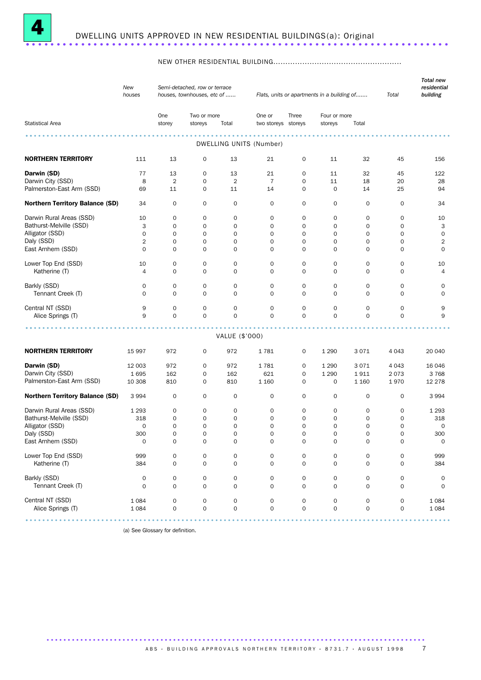

#### NEW OTHER RESIDENTIAL BUILDING.....................................................

|                                        | New<br>houses       |                     | Semi-detached, row or terrace<br>houses, townhouses, etc of |                     |                                   |                     | Flats, units or apartments in a building of |                     | Total               | <b>Total new</b><br>residential<br>building |
|----------------------------------------|---------------------|---------------------|-------------------------------------------------------------|---------------------|-----------------------------------|---------------------|---------------------------------------------|---------------------|---------------------|---------------------------------------------|
|                                        |                     | One                 | Two or more                                                 |                     | One or                            | Three               | Four or more                                |                     |                     |                                             |
| <b>Statistical Area</b>                |                     | storey              | storeys                                                     | Total               | two storeys storeys               |                     | storeys                                     | Total               |                     |                                             |
|                                        |                     |                     |                                                             |                     | .<br>.<br>DWELLING UNITS (Number) |                     |                                             |                     |                     |                                             |
| <b>NORTHERN TERRITORY</b>              | 111                 | 13                  | $\mathbf 0$                                                 | 13                  | 21                                | 0                   | 11                                          | 32                  | 45                  | 156                                         |
| Darwin (SD)                            | 77                  | 13                  | $\mathbf 0$                                                 | 13                  | 21                                | 0                   | 11                                          | 32                  | 45                  | 122                                         |
| Darwin City (SSD)                      | 8                   | $\overline{2}$      | $\mathbf 0$                                                 | $\overline{2}$      | $\overline{7}$                    | 0                   | 11                                          | 18                  | 20                  | 28                                          |
| Palmerston-East Arm (SSD)              | 69                  | 11                  | $\mathbf 0$                                                 | 11                  | 14                                | $\mathbf 0$         | $\mathbf 0$                                 | 14                  | 25                  | 94                                          |
| <b>Northern Territory Balance (SD)</b> | 34                  | $\mathbf 0$         | $\mathbf 0$                                                 | 0                   | $\mathbf 0$                       | 0                   | 0                                           | 0                   | 0                   | 34                                          |
| Darwin Rural Areas (SSD)               | 10                  | 0                   | $\mathbf 0$                                                 | 0                   | $\mathbf 0$                       | 0                   | 0                                           | 0                   | 0                   | 10                                          |
| Bathurst-Melville (SSD)                | 3                   | 0                   | $\mathbf 0$                                                 | 0                   | $\mathbf 0$                       | 0                   | 0                                           | 0                   | 0                   | 3                                           |
| Alligator (SSD)                        | $\mathbf 0$         | 0                   | $\mathbf 0$                                                 | $\mathsf{O}\xspace$ | $\mathbf 0$                       | $\mathsf{O}\xspace$ | 0                                           | 0                   | $\mathbf 0$         | $\mathbf 0$                                 |
| Daly (SSD)                             | $\overline{2}$      | $\mathbf 0$         | $\mathbf 0$                                                 | 0                   | $\mathbf 0$                       | $\mathbf 0$         | $\mathbf 0$                                 | 0                   | 0                   | $\sqrt{2}$                                  |
| East Arnhem (SSD)                      | $\mathsf{O}\xspace$ | 0                   | $\mathbf 0$                                                 | 0                   | $\mathbf 0$                       | 0                   | 0                                           | 0                   | 0                   | $\mathbf 0$                                 |
| Lower Top End (SSD)                    | 10                  | 0                   | 0                                                           | 0                   | $\mathbf 0$                       | 0                   | 0                                           | 0                   | 0                   | 10                                          |
| Katherine (T)                          | 4                   | $\mathbf 0$         | $\mathbf 0$                                                 | 0                   | $\mathbf 0$                       | $\mathbf 0$         | $\mathbf 0$                                 | 0                   | $\mathsf{O}$        | $\overline{4}$                              |
| Barkly (SSD)                           | 0                   | 0                   | $\mathbf 0$                                                 | 0                   | $\mathbf 0$                       | 0                   | 0                                           | 0                   | 0                   | 0                                           |
| Tennant Creek (T)                      | $\mathbf 0$         | $\mathbf 0$         | $\Omega$                                                    | $\mathbf 0$         | $\mathbf 0$                       | $\mathbf 0$         | $\mathbf 0$                                 | $\mathbf 0$         | $\mathsf{O}$        | $\mathbf 0$                                 |
| Central NT (SSD)                       | 9                   | 0                   | $\mathbf 0$                                                 | 0                   | $\mathbf 0$                       | 0                   | 0                                           | 0                   | 0                   | 9                                           |
| Alice Springs (T)                      | 9                   | $\mathbf 0$         | $\mathbf 0$                                                 | $\mathsf{O}$        | $\mathbf 0$                       | $\mathsf{O}$        | $\mathbf 0$                                 | $\mathsf{O}$        | $\mathbf 0$         | 9                                           |
|                                        |                     |                     |                                                             |                     |                                   |                     |                                             |                     |                     |                                             |
|                                        |                     |                     |                                                             | VALUE (\$'000)      |                                   |                     |                                             |                     |                     |                                             |
| <b>NORTHERN TERRITORY</b>              | 15 997              | 972                 | $\mathbf 0$                                                 | 972                 | 1781                              | 0                   | 1 2 9 0                                     | 3071                | 4 0 4 3             | 20 040                                      |
| Darwin (SD)                            | 12 003              | 972                 | $\mathbf 0$                                                 | 972                 | 1781                              | 0                   | 1 2 9 0                                     | 3071                | 4 0 4 3             | 16 04 6                                     |
| Darwin City (SSD)                      | 1695                | 162                 | $\mathbf 0$                                                 | 162                 | 621                               | 0                   | 1 2 9 0                                     | 1911                | 2073                | 3768                                        |
| Palmerston-East Arm (SSD)              | 10 308              | 810                 | $\mathbf 0$                                                 | 810                 | 1 1 6 0                           | $\mathsf{O}$        | 0                                           | 1 1 6 0             | 1970                | 12 278                                      |
| <b>Northern Territory Balance (SD)</b> | 3 9 9 4             | 0                   | $\mathbf 0$                                                 | 0                   | 0                                 | 0                   | 0                                           | 0                   | 0                   | 3 9 9 4                                     |
| Darwin Rural Areas (SSD)               | 1 2 9 3             | 0                   | 0                                                           | 0                   | 0                                 | 0                   | 0                                           | 0                   | 0                   | 1 2 9 3                                     |
| Bathurst-Melville (SSD)                | 318                 | 0                   | $\mathbf 0$                                                 | 0                   | $\mathbf 0$                       | 0                   | 0                                           | 0                   | 0                   | 318                                         |
| Alligator (SSD)                        | 0                   | $\mathbf 0$         | $\mathbf 0$                                                 | 0                   | $\mathbf 0$                       | $\mathbf 0$         | 0                                           | 0                   | 0                   | 0                                           |
| Daly (SSD)                             | 300                 | $\mathbf 0$         | $\mathbf 0$                                                 | $\mathbf 0$         | $\mathbf 0$                       | $\mathbf 0$         | $\mathbf 0$                                 | $\mathsf{O}$        | $\mathbf 0$         | 300                                         |
| East Arnhem (SSD)                      | $\mathsf{O}\xspace$ | $\mathbf 0$         | $\mathsf{O}\xspace$                                         | $\mathsf{O}\xspace$ | $\mathbf 0$                       | 0                   | 0                                           | 0                   | $\mathsf{O}\xspace$ | $\mathsf{O}\xspace$                         |
| Lower Top End (SSD)                    | 999                 | $\mathbf 0$         | $\mathsf{O}\xspace$                                         | 0                   | $\mathbf 0$                       | 0                   | 0                                           | $\mathsf{O}\xspace$ | 0                   | 999                                         |
| Katherine (T)                          | 384                 | $\mathbf 0$         | $\mathbf 0$                                                 | 0                   | $\mathbf 0$                       | 0                   | 0                                           | 0                   | 0                   | 384                                         |
| Barkly (SSD)                           | 0                   | 0                   | 0                                                           | 0                   | 0                                 | 0                   | 0                                           | $\mathsf{O}\xspace$ | 0                   | 0                                           |
| Tennant Creek (T)                      | $\mathsf{O}\xspace$ | $\mathbf 0$         | $\mathbf 0$                                                 | $\mathsf{O}\xspace$ | $\mathbf 0$                       | 0                   | $\mathsf{O}\xspace$                         | 0                   | $\mathsf{O}\xspace$ | $\mathbf 0$                                 |
| Central NT (SSD)                       | 1084                | 0                   | 0                                                           | 0                   | $\mathbf 0$                       | 0                   | 0                                           | 0                   | 0                   | 1 0 8 4                                     |
| Alice Springs (T)                      | 1 0 8 4             | $\mathsf{O}\xspace$ | $\mathbf 0$                                                 | $\mathsf{O}\xspace$ | $\mathsf{O}\xspace$               | 0                   | $\mathsf{O}\xspace$                         | $\mathsf{O}\xspace$ | $\mathsf{O}$        | 1 0 8 4                                     |
|                                        |                     |                     |                                                             |                     |                                   |                     |                                             |                     |                     |                                             |

(a) See Glossary for definition.

A B S · BUIL DIN G APPROVALS NORTHERN TERRITORY · 8731.7 · AU GUST 1998 7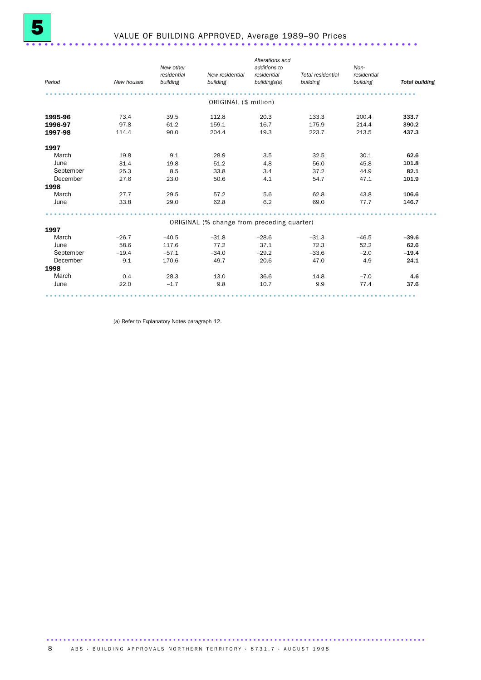| Period    | New houses | New other<br>residential<br>building | New residential<br>building                | Alterations and<br>additions to<br>residential<br>buildings(a) | Total residential<br>building | Non-<br>residential<br>building | <b>Total building</b> |
|-----------|------------|--------------------------------------|--------------------------------------------|----------------------------------------------------------------|-------------------------------|---------------------------------|-----------------------|
|           |            |                                      |                                            |                                                                |                               |                                 |                       |
|           |            |                                      | ORIGINAL (\$ million)                      |                                                                |                               |                                 |                       |
| 1995-96   | 73.4       | 39.5                                 | 112.8                                      | 20.3                                                           | 133.3                         | 200.4                           | 333.7                 |
| 1996-97   | 97.8       | 61.2                                 | 159.1                                      | 16.7                                                           | 175.9                         | 214.4                           | 390.2                 |
| 1997-98   | 114.4      | 90.0                                 | 204.4                                      | 19.3                                                           | 223.7                         | 213.5                           | 437.3                 |
| 1997      |            |                                      |                                            |                                                                |                               |                                 |                       |
| March     | 19.8       | 9.1                                  | 28.9                                       | 3.5                                                            | 32.5                          | 30.1                            | 62.6                  |
| June      | 31.4       | 19.8                                 | 51.2                                       | 4.8                                                            | 56.0                          | 45.8                            | 101.8                 |
| September | 25.3       | 8.5                                  | 33.8                                       | 3.4                                                            | 37.2                          | 44.9                            | 82.1                  |
| December  | 27.6       | 23.0                                 | 50.6                                       | 4.1                                                            | 54.7                          | 47.1                            | 101.9                 |
| 1998      |            |                                      |                                            |                                                                |                               |                                 |                       |
| March     | 27.7       | 29.5                                 | 57.2                                       | 5.6                                                            | 62.8                          | 43.8                            | 106.6                 |
| June      | 33.8       | 29.0                                 | 62.8                                       | 6.2                                                            | 69.0                          | 77.7                            | 146.7                 |
|           |            |                                      |                                            |                                                                |                               |                                 |                       |
|           |            |                                      | ORIGINAL (% change from preceding quarter) |                                                                |                               |                                 |                       |
| 1997      |            |                                      |                                            |                                                                |                               |                                 |                       |
| March     | $-26.7$    | $-40.5$                              | $-31.8$                                    | $-28.6$                                                        | $-31.3$                       | $-46.5$                         | $-39.6$               |
| June      | 58.6       | 117.6                                | 77.2                                       | 37.1                                                           | 72.3                          | 52.2                            | 62.6                  |
| September | $-19.4$    | $-57.1$                              | $-34.0$                                    | $-29.2$                                                        | $-33.6$                       | $-2.0$                          | $-19.4$               |
| December  | 9.1        | 170.6                                | 49.7                                       | 20.6                                                           | 47.0                          | 4.9                             | 24.1                  |
| 1998      |            |                                      |                                            |                                                                |                               |                                 |                       |
| March     | 0.4        | 28.3                                 | 13.0                                       | 36.6                                                           | 14.8                          | $-7.0$                          | 4.6                   |
| June      | 22.0       | $-1.7$                               | 9.8                                        | 10.7                                                           | 9.9                           | 77.4                            | 37.6                  |
|           |            |                                      |                                            |                                                                |                               | .                               |                       |

(a) Refer to Explanatory Notes paragraph 12.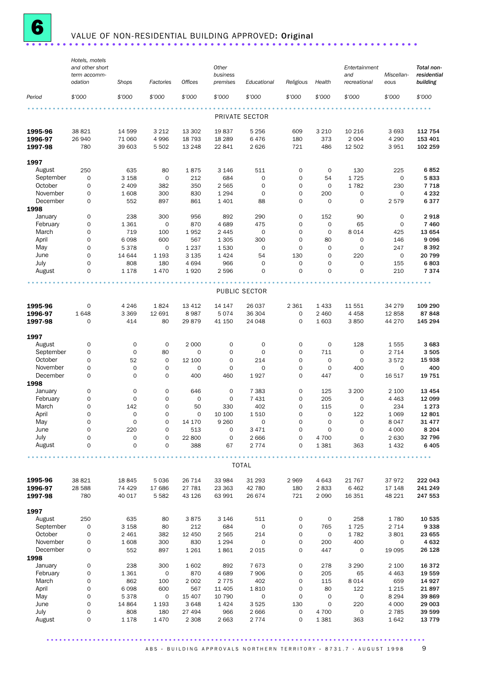

# **6** VALUE OF NON-RESIDENTIAL BUILDING APPROVED: Original .......................

|                               | Hotels, motels<br>and other short<br>term accomm- |                            |                               |                             | Other<br>business          |                           |                            |                            | Entertainment<br>and               | Miscellan-              | Total non-<br>residential     |
|-------------------------------|---------------------------------------------------|----------------------------|-------------------------------|-----------------------------|----------------------------|---------------------------|----------------------------|----------------------------|------------------------------------|-------------------------|-------------------------------|
|                               | odation                                           | Shops                      | Factories                     | <b>Offices</b>              | premises                   | Educational               | Religious                  | Health                     | recreational                       | eous                    | building                      |
| Period                        | \$'000                                            | \$'000                     | \$'000                        | \$'000                      | \$'000                     | \$'000                    | \$'000                     | \$'000                     | \$'000                             | \$'000                  | \$'000                        |
|                               |                                                   |                            |                               |                             |                            | PRIVATE SECTOR            |                            |                            |                                    |                         |                               |
| 1995-96<br>1996-97<br>1997-98 | 38 821<br>26 940<br>780                           | 14 599<br>71 060<br>39 603 | 3 2 1 2<br>4 9 9 6<br>5 5 0 2 | 13 302<br>18 7 93<br>13 248 | 19837<br>18 28 9<br>22 841 | 5 2 5 6<br>6476<br>2626   | 609<br>180<br>721          | 3 2 1 0<br>373<br>486      | 10 216<br>2 0 0 4<br>12 502        | 3693<br>4 2 9 0<br>3951 | 112 754<br>153 401<br>102 259 |
| 1997                          |                                                   |                            |                               |                             |                            |                           |                            |                            |                                    |                         |                               |
| August<br>September           | 250<br>0                                          | 635<br>3 1 5 8             | 80<br>$\mathsf{O}\xspace$     | 1875<br>212                 | 3 1 4 6<br>684             | 511<br>0                  | $\mathbf 0$<br>0           | $\mathbf 0$<br>54          | 130<br>1725                        | 225<br>$\mathbf 0$      | 6852<br>5833                  |
| October                       | 0                                                 | 2 4 0 9                    | 382                           | 350                         | 2 5 6 5                    | 0                         | $\mathbf 0$                | $\mathbf 0$                | 1782                               | 230                     | 7718                          |
| November<br>December          | 0<br>0                                            | 1608<br>552                | 300<br>897                    | 830<br>861                  | 1 2 9 4<br>1 4 0 1         | $\mathsf{O}\xspace$<br>88 | $\mathbf 0$<br>$\mathbf 0$ | 200<br>$\mathbf 0$         | $\mathsf{O}\xspace$<br>$\mathbf 0$ | $\mathbf 0$<br>2579     | 4 2 3 2<br>6377               |
| 1998                          |                                                   |                            |                               |                             |                            |                           |                            |                            |                                    |                         |                               |
| January                       | 0                                                 | 238                        | 300                           | 956                         | 892                        | 290                       | $\mathbf 0$                | 152                        | 90                                 | 0                       | 2918                          |
| February<br>March             | 0<br>0                                            | 1 3 6 1<br>719             | $\mathbf 0$<br>100            | 870<br>1952                 | 4689<br>2 4 4 5            | 475<br>$\mathbf 0$        | $\mathbf 0$<br>$\mathbf 0$ | $\mathbf 0$<br>$\mathbf 0$ | 65<br>8 0 1 4                      | 0<br>425                | 7 4 6 0<br>13 654             |
| April                         | 0                                                 | 6098                       | 600                           | 567                         | 1 3 0 5                    | 300                       | 0                          | 80                         | 0                                  | 146                     | 9096                          |
| May                           | 0                                                 | 5378                       | $\mathbf 0$                   | 1 2 3 7                     | 1 5 3 0                    | 0                         | $\mathbf 0$                | $\mathbf 0$                | $\mathbf 0$                        | 247                     | 8 3 9 2                       |
| June<br>July                  | $\mathbf 0$<br>0                                  | 14 644<br>808              | 1 1 9 3<br>180                | 3 1 3 5<br>4694             | 1 4 2 4<br>966             | 54<br>0                   | 130<br>$\mathbf 0$         | $\mathbf 0$<br>$\mathbf 0$ | 220<br>$\mathbf 0$                 | $\mathbf 0$<br>155      | 20 799<br>6803                |
| August                        | $\mathbf 0$                                       | 1 1 7 8                    | 1470                          | 1920                        | 2 5 9 6                    | 0                         | $\mathbf 0$                | $\mathbf 0$                | $\mathbf 0$                        | 210                     | 7374                          |
|                               |                                                   |                            |                               |                             |                            |                           |                            |                            |                                    |                         |                               |
|                               |                                                   |                            |                               |                             |                            | PUBLIC SECTOR             |                            |                            |                                    |                         |                               |
| 1995-96                       | 0                                                 | 4 2 4 6                    | 1824                          | 13 4 12                     | 14 147                     | 26 037                    | 2 3 6 1                    | 1433                       | 11 551                             | 34 279                  | 109 290                       |
| 1996-97                       | 1648                                              | 3 3 6 9                    | 12 691                        | 8987                        | 5074                       | 36 304                    | $\mathbf 0$                | 2 4 6 0                    | 4 4 5 8                            | 12858                   | 87848                         |
| 1997-98                       | 0                                                 | 414                        | 80                            | 29879                       | 41 150                     | 24 048                    | $\mathbf 0$                | 1 603                      | 3850                               | 44 270                  | 145 294                       |
| 1997                          |                                                   |                            |                               |                             |                            |                           |                            |                            |                                    |                         |                               |
| August                        | 0                                                 | $\mathbf 0$                | $\mathbf 0$                   | 2 0 0 0                     | 0                          | 0                         | $\mathbf 0$                | $\mathbf 0$                | 128                                | 1555                    | 3683                          |
| September<br>October          | 0<br>0                                            | $\mathbf 0$<br>52          | 80<br>$\mathbf 0$             | $\mathbf 0$<br>12 100       | 0<br>0                     | 0<br>214                  | 0<br>$\mathbf 0$           | 711<br>$\mathbf 0$         | $\mathbf 0$<br>$\mathbf 0$         | 2 7 1 4<br>3572         | 3505<br>15 938                |
| November                      | 0                                                 | $\mathsf{O}\xspace$        | 0                             | 0                           | 0                          | $\mathbf 0$               | 0                          | $\mathbf 0$                | 400                                | $\mathbf 0$             | 400                           |
| December                      | $\mathbf 0$                                       | $\mathbf 0$                | $\mathbf 0$                   | 400                         | 460                        | 1927                      | $\mathbf 0$                | 447                        | $\mathbf 0$                        | 16 517                  | 19751                         |
| 1998<br>January               | 0                                                 | 0                          | 0                             | 646                         | 0                          | 7 3 8 3                   | $\mathbf 0$                | 125                        | 3 2 0 0                            | 2 100                   | 13 4 54                       |
| February                      | 0                                                 | $\mathbf 0$                | 0                             | 0                           | $\mathbf 0$                | 7 4 3 1                   | $\mathbf 0$                | 205                        | $\mathbf 0$                        | 4 4 6 3                 | 12 099                        |
| March                         | 0                                                 | 142                        | $\mathbf 0$                   | 50                          | 330                        | 402                       | $\mathbf 0$                | 115                        | $\mathbf 0$                        | 234                     | 1 2 7 3                       |
| April                         | $\Omega$                                          | $\mathbf 0$                | $\Omega$                      | $\mathbf 0$                 | 10 100                     | 1510                      | $\Omega$                   | $\mathbf 0$                | 122                                | 1 0 6 9                 | 12 801                        |
| May<br>June                   | $\mathsf{O}\xspace$<br>0                          | $\mathsf O$<br>220         | 0<br>0                        | 14 170<br>513               | 9 2 6 0<br>0               | $\mathbf 0$<br>3 4 7 1    | $\mathsf{O}\xspace$<br>0   | $\mathbf 0$<br>$\mathbf 0$ | $\mathbf 0$<br>$\mathbf 0$         | 8047<br>4 0 0 0         | 31 477<br>8 2 0 4             |
| July                          | 0                                                 | 0                          | 0                             | 22 800                      | 0                          | 2 6 6 6                   | 0                          | 4 700                      | $\mathsf{O}\xspace$                | 2 6 3 0                 | 32 796                        |
| August                        | 0                                                 | $\mathbf 0$                | 0                             | 388                         | 67                         | 2 7 7 4                   | 0                          | 1 3 8 1                    | 363                                | 1432                    | 6405                          |
|                               |                                                   |                            |                               |                             |                            | <b>TOTAL</b>              |                            |                            |                                    |                         |                               |
| 1995-96                       | 38 821                                            | 18 845                     | 5036                          | 26 714                      | 33 984                     | 31 293                    | 2 9 6 9                    | 4 6 4 3                    | 21 767                             | 37972                   | 222 043                       |
| 1996-97                       | 28 5 88                                           | 74 429                     | 17 686                        | 27 781                      | 23 363                     | 42 780                    | 180                        | 2833                       | 6 4 6 2                            | 17 148                  | 241 249                       |
| 1997-98                       | 780                                               | 40 017                     | 5 5 8 2                       | 43 126                      | 63 991                     | 26 674                    | 721                        | 2 0 9 0                    | 16 351                             | 48 221                  | 247 553                       |
| 1997                          |                                                   |                            |                               |                             |                            |                           |                            |                            |                                    |                         |                               |
| August                        | 250                                               | 635                        | 80                            | 3875                        | 3 1 4 6                    | 511                       | $\mathsf O$                | $\mathsf O$                | 258                                | 1780                    | 10 535                        |
| September<br>October          | 0                                                 | 3 1 5 8                    | 80                            | 212                         | 684                        | 0                         | $\mathbf 0$                | 765                        | 1725                               | 2 7 1 4                 | 9338                          |
| November                      | 0<br>0                                            | 2 4 6 1<br>1608            | 382<br>300                    | 12 450<br>830               | 2 5 6 5<br>1 2 9 4         | 214<br>0                  | 0<br>$\mathbf 0$           | 0<br>200                   | 1782<br>400                        | 3801<br>0               | 23 655<br>4 6 3 2             |
| December                      | $\mathsf{O}$                                      | 552                        | 897                           | 1 2 6 1                     | 1861                       | 2 0 1 5                   | $\mathbf 0$                | 447                        | $\mathbf 0$                        | 19 0 95                 | 26 128                        |
| 1998                          |                                                   |                            |                               |                             |                            |                           |                            |                            |                                    |                         |                               |
| January<br>February           | 0<br>0                                            | 238<br>1 3 6 1             | 300<br>$\mathbf 0$            | 1602<br>870                 | 892<br>4 6 8 9             | 7673<br>7 9 0 6           | $\mathbf 0$<br>0           | 278<br>205                 | 3 2 9 0<br>65                      | 2 100<br>4 4 6 3        | 16372<br>19 559               |
| March                         | 0                                                 | 862                        | 100                           | 2 0 0 2                     | 2 7 7 5                    | 402                       | 0                          | 115                        | 8 0 1 4                            | 659                     | 14 9 27                       |
| April                         | 0                                                 | 6098                       | 600                           | 567                         | 11 405                     | 1810                      | $\mathbf 0$                | 80                         | 122                                | 1 2 1 5                 | 21897                         |
| May<br>June                   | 0<br>0                                            | 5378<br>14 8 64            | $\mathbf 0$<br>1 1 9 3        | 15 407<br>3648              | 10 790<br>1 4 2 4          | $\mathbf 0$<br>3 5 2 5    | $\mathsf{O}\xspace$<br>130 | $\mathbf 0$<br>$\mathbf 0$ | $\mathsf{O}\xspace$<br>220         | 8 2 9 4<br>4 0 0 0      | 39869<br>29 003               |
| July                          | 0                                                 | 808                        | 180                           | 27 494                      | 966                        | 2 6 6 6                   | 0                          | 4 700                      | $\mathsf{O}\xspace$                | 2 7 8 5                 | 39 599                        |
| August                        | 0                                                 | 1 1 7 8                    | 1470                          | 2 3 0 8                     | 2 6 6 3                    | 2 7 7 4                   | 0                          | 1 3 8 1                    | 363                                | 1642                    | 13779                         |
|                               |                                                   |                            |                               |                             |                            |                           |                            |                            |                                    |                         |                               |

.......................................................................................... A B S · BUIL DING APPROVALS NORTHERN TERRITORY · 8731.7 · AUGUST 1998 9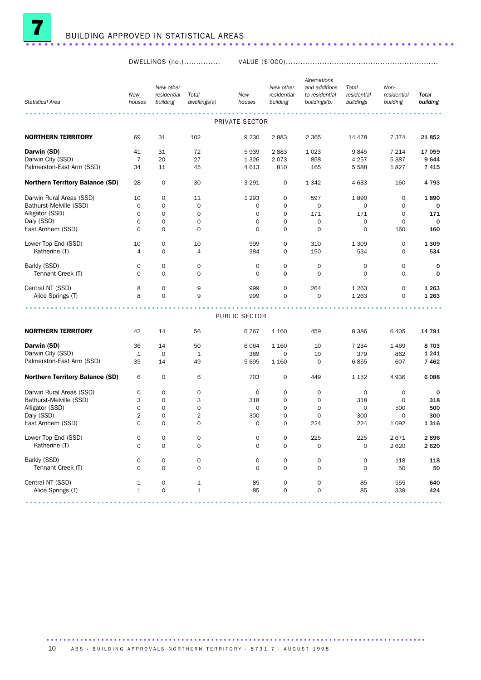

DWELLINGS (no.)............... VALUE (\$'000)...............................................................

| <b>Statistical Area</b>                | New<br>houses  | New other<br>residential<br>building | Total<br>dwellings(a) | New<br>houses  | New other<br>residential<br>building | Alternations<br>and additions<br>to residential<br>buildings(b) | Total<br>residential<br>buildings | Non-<br>residential<br>building | <b>Total</b><br>building |
|----------------------------------------|----------------|--------------------------------------|-----------------------|----------------|--------------------------------------|-----------------------------------------------------------------|-----------------------------------|---------------------------------|--------------------------|
|                                        |                |                                      |                       | PRIVATE SECTOR |                                      |                                                                 |                                   |                                 |                          |
| <b>NORTHERN TERRITORY</b>              | 69             | 31                                   | 102                   | 9 2 3 0        | 2883                                 | 2 3 6 5                                                         | 14 4 78                           | 7 3 7 4                         | 21852                    |
| Darwin (SD)                            | 41             | 31                                   | 72                    | 5939           | 2883                                 | 1023                                                            | 9845                              | 7 2 1 4                         | 17 059                   |
| Darwin City (SSD)                      | 7              | 20                                   | 27                    | 1 3 2 6        | 2073                                 | 858                                                             | 4 2 5 7                           | 5 3 8 7                         | 9644                     |
| Palmerston-East Arm (SSD)              | 34             | 11                                   | 45                    | 4 6 1 3        | 810                                  | 165                                                             | 5588                              | 1827                            | 7415                     |
| Northern Territory Balance (SD)        | 28             | $\mathbf 0$                          | 30                    | 3 2 9 1        | 0                                    | 1 3 4 2                                                         | 4 6 3 3                           | 160                             | 4793                     |
| Darwin Rural Areas (SSD)               | 10             | $\mathbf 0$                          | 11                    | 1 2 9 3        | 0                                    | 597                                                             | 1890                              | 0                               | 1890                     |
| Bathurst-Melville (SSD)                | $\mathbf 0$    | $\mathbf 0$                          | $\mathbf 0$           | 0              | $\mathbf 0$                          | $\mathbf 0$                                                     | $\mathbf 0$                       | 0                               | 0                        |
| Alligator (SSD)                        | 0              | $\mathbf 0$                          | $\mathbf 0$           | $\mathbf 0$    | $\mathbf 0$                          | 171                                                             | 171                               | $\mathbf 0$                     | 171                      |
| Daly (SSD)                             | 0              | $\mathbf 0$                          | 0                     | $\mathbf 0$    | $\mathbf 0$                          | $\mathbf 0$                                                     | $\mathbf 0$                       | $\mathbf 0$                     | $\mathbf 0$              |
| East Arnhem (SSD)                      | $\mathbf 0$    | $\mathbf 0$                          | $\mathbf 0$           | 0              | $\mathbf 0$                          | $\mathbf 0$                                                     | $\mathbf 0$                       | 160                             | 160                      |
| Lower Top End (SSD)                    | 10             | 0                                    | 10                    | 999            | $\mathbf 0$                          | 310                                                             | 1 3 0 9                           | 0                               | 1 3 0 9                  |
| Katherine (T)                          | $\overline{4}$ | $\mathbf 0$                          | 4                     | 384            | $\mathbf 0$                          | 150                                                             | 534                               | $\mathbf 0$                     | 534                      |
| Barkly (SSD)                           | 0              | $\mathbf 0$                          | 0                     | $\mathbf 0$    | $\mathsf{O}\xspace$                  | $\mathbf 0$                                                     | 0                                 | 0                               | $\mathbf 0$              |
| Tennant Creek (T)                      | $\mathbf 0$    | $\mathbf 0$                          | $\mathbf 0$           | $\Omega$       | $\mathbf 0$                          | $\mathbf 0$                                                     | $\mathbf 0$                       | 0                               | 0                        |
| Central NT (SSD)                       | 8              | $\mathbf 0$                          | 9                     | 999            | 0                                    | 264                                                             | 1 2 6 3                           | 0                               | 1 2 6 3                  |
| Alice Springs (T)                      | 8              | $\mathbf 0$                          | 9                     | 999            | $\mathbf 0$                          | $\mathbf 0$                                                     | 1 2 6 3                           | 0                               | 1 2 6 3                  |
|                                        |                |                                      |                       |                |                                      |                                                                 |                                   |                                 |                          |
|                                        |                |                                      |                       | PUBLIC SECTOR  |                                      |                                                                 |                                   |                                 |                          |
| <b>NORTHERN TERRITORY</b>              | 42             | 14                                   | 56                    | 6767           | 1 1 6 0                              | 459                                                             | 8 3 8 6                           | 6 4 0 5                         | 14 791                   |
| Darwin (SD)                            | 36             | 14                                   | 50                    | 6 0 6 4        | 1 1 6 0                              | 10                                                              | 7 2 3 4                           | 1469                            | 8703                     |
| Darwin City (SSD)                      | $\mathbf{1}$   | $\mathbf 0$                          | $\mathbf{1}$          | 369            | 0                                    | 10                                                              | 379                               | 862                             | 1 2 4 1                  |
| Palmerston-East Arm (SSD)              | 35             | 14                                   | 49                    | 5 6 9 5        | 1 1 6 0                              | $\mathbf 0$                                                     | 6855                              | 607                             | 7462                     |
| <b>Northern Territory Balance (SD)</b> | 6              | $\mathbf 0$                          | 6                     | 703            | 0                                    | 449                                                             | 1 1 5 2                           | 4936                            | 6088                     |
| Darwin Rural Areas (SSD)               | 0              | 0                                    | 0                     | 0              | 0                                    | 0                                                               | 0                                 | 0                               | 0                        |
| Bathurst-Melville (SSD)                | 3              | $\mathbf 0$                          | 3                     | 318            | $\mathbf 0$                          | 0                                                               | 318                               | $\mathbf 0$                     | 318                      |
| Alligator (SSD)                        | 0              | $\mathsf{O}\xspace$                  | 0                     | $\mathbf 0$    | $\mathbf 0$                          | $\mathbf 0$                                                     | $\mathbf 0$                       | 500                             | 500                      |
| Daly (SSD)                             | 2              | 0                                    | 2                     | 300            | 0                                    | 0                                                               | 300                               | 0                               | 300                      |
| East Arnhem (SSD)                      | $\mathbf 0$    | $\mathbf 0$                          | 0                     | $\mathbf 0$    | $\mathbf 0$                          | 224                                                             | 224                               | 1 0 9 2                         | 1316                     |
| Lower Top End (SSD)                    | 0              | 0                                    | 0                     | 0              | 0                                    | 225                                                             | 225                               | 2671                            | 2896                     |
| Katherine (T)                          | 0              | $\mathbf 0$                          | 0                     | $\mathbf 0$    | $\mathbf 0$                          | 0                                                               | 0                                 | 2620                            | 2620                     |
| Barkly (SSD)                           | 0              | 0                                    | 0                     | $\mathbf 0$    | $\mathsf{O}\xspace$                  | 0                                                               | 0                                 | 118                             | 118                      |
| Tennant Creek (T)                      | 0              | $\mathbf 0$                          | 0                     | $\mathbf 0$    | $\mathbf 0$                          | $\mathbf 0$                                                     | $\mathbf 0$                       | 50                              | 50                       |
| Central NT (SSD)                       | 1              | 0                                    | $\mathbf 1$           | 85             | $\mathsf{O}\xspace$                  | 0                                                               | 85                                | 555                             | 640                      |
| Alice Springs (T)                      | $\mathbf{1}$   | $\mathsf{O}\xspace$                  | $\mathbf 1$           | 85             | $\mathbf 0$                          | $\mathsf{O}\xspace$                                             | 85                                | 339                             | 424                      |
|                                        |                |                                      |                       |                |                                      |                                                                 |                                   |                                 |                          |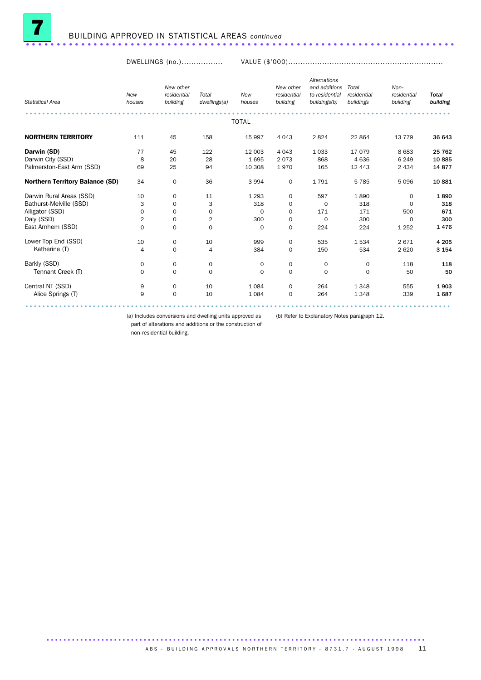

DWELLINGS (no.)................. VALUE (\$'000)................................................................

| <b>Statistical Area</b>                | New<br>houses | New other<br>residential<br>building | Total<br>dwellings(a)   | New<br>houses | New other<br>residential<br>building | <b>Alternations</b><br>and additions<br>to residential<br>buildings(b) | Total<br>residential<br>buildings | Non-<br>residential<br>building | <b>Total</b><br>building |
|----------------------------------------|---------------|--------------------------------------|-------------------------|---------------|--------------------------------------|------------------------------------------------------------------------|-----------------------------------|---------------------------------|--------------------------|
|                                        |               |                                      |                         |               |                                      |                                                                        |                                   |                                 |                          |
|                                        |               |                                      |                         | <b>TOTAL</b>  |                                      |                                                                        |                                   |                                 |                          |
| <b>NORTHERN TERRITORY</b>              | 111           | 45                                   | 158                     | 15 997        | 4 0 4 3                              | 2824                                                                   | 22 8 64                           | 13 7 7 9                        | 36 643                   |
| Darwin (SD)                            | 77            | 45                                   | 122                     | 12 003        | 4 0 4 3                              | 1 0 3 3                                                                | 17079                             | 8 6 8 3                         | 25 762                   |
| Darwin City (SSD)                      | 8             | 20                                   | 28                      | 1695          | 2073                                 | 868                                                                    | 4636                              | 6 2 4 9                         | 10885                    |
| Palmerston-East Arm (SSD)              | 69            | 25                                   | 94                      | 10 308        | 1970                                 | 165                                                                    | 12 4 4 3                          | 2 4 3 4                         | 14877                    |
| <b>Northern Territory Balance (SD)</b> | 34            | $\mathbf 0$                          | 36                      | 3 9 9 4       | $\mathbf 0$                          | 1791                                                                   | 5785                              | 5096                            | 10881                    |
| Darwin Rural Areas (SSD)               | 10            | $\mathbf 0$                          | 11                      | 1 2 9 3       | 0                                    | 597                                                                    | 1890                              | $\Omega$                        | 1890                     |
| Bathurst-Melville (SSD)                | 3             | $\mathbf 0$                          | 3                       | 318           | 0                                    | $\mathbf 0$                                                            | 318                               | $\Omega$                        | 318                      |
| Alligator (SSD)                        | 0             | $\mathbf 0$                          | 0                       | $\mathbf 0$   | 0                                    | 171                                                                    | 171                               | 500                             | 671                      |
| Daly (SSD)                             | 2             | $\mathbf 0$                          | $\overline{\mathbf{c}}$ | 300           | 0                                    | $\mathbf 0$                                                            | 300                               | $\Omega$                        | 300                      |
| East Arnhem (SSD)                      | $\mathbf 0$   | $\mathbf 0$                          | $\mathbf 0$             | $\Omega$      | $\mathbf 0$                          | 224                                                                    | 224                               | 1 2 5 2                         | 1476                     |
| Lower Top End (SSD)                    | 10            | $\mathbf 0$                          | 10                      | 999           | 0                                    | 535                                                                    | 1534                              | 2671                            | 4 2 0 5                  |
| Katherine (T)                          | 4             | $\mathbf 0$                          | 4                       | 384           | $\mathbf 0$                          | 150                                                                    | 534                               | 2620                            | 3 1 5 4                  |
| Barkly (SSD)                           | 0             | $\mathbf 0$                          | 0                       | $\mathbf 0$   | 0                                    | 0                                                                      | $\mathbf 0$                       | 118                             | 118                      |
| Tennant Creek (T)                      | $\Omega$      | $\mathbf 0$                          | $\Omega$                | $\Omega$      | $\Omega$                             | $\Omega$                                                               | $\Omega$                          | 50                              | 50                       |
| Central NT (SSD)                       | 9             | $\mathbf 0$                          | 10                      | 1 0 8 4       | $\mathbf 0$                          | 264                                                                    | 1348                              | 555                             | 1903                     |
| Alice Springs (T)                      | 9             | $\mathbf 0$                          | 10                      | 1 0 8 4       | $\mathbf 0$                          | 264                                                                    | 1348                              | 339                             | 1687                     |
|                                        |               |                                      |                         |               |                                      |                                                                        |                                   |                                 |                          |

(a) Includes conversions and dwelling units approved as (b) Refer to Explanatory Notes paragraph 12.

part of alterations and additions or the construction of non-residential building.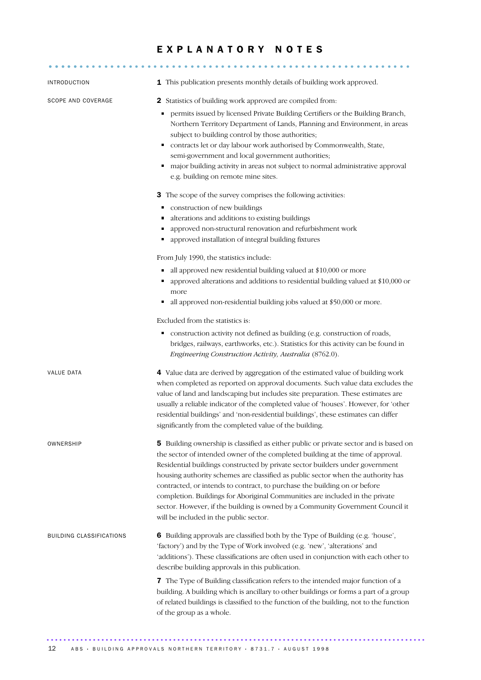#### EXPLANATORY NOTES

........................................................... .....

| <b>INTRODUCTION</b>             | 1 This publication presents monthly details of building work approved.                                                                                                                                                                                                                                                                                                                                                                                                                                                                                                                                                                 |
|---------------------------------|----------------------------------------------------------------------------------------------------------------------------------------------------------------------------------------------------------------------------------------------------------------------------------------------------------------------------------------------------------------------------------------------------------------------------------------------------------------------------------------------------------------------------------------------------------------------------------------------------------------------------------------|
| SCOPE AND COVERAGE              | 2 Statistics of building work approved are compiled from:                                                                                                                                                                                                                                                                                                                                                                                                                                                                                                                                                                              |
|                                 | permits issued by licensed Private Building Certifiers or the Building Branch,<br>٠<br>Northern Territory Department of Lands, Planning and Environment, in areas<br>subject to building control by those authorities;<br>contracts let or day labour work authorised by Commonwealth, State,<br>semi-government and local government authorities;<br>major building activity in areas not subject to normal administrative approval<br>e.g. building on remote mine sites.                                                                                                                                                            |
|                                 | 3 The scope of the survey comprises the following activities:                                                                                                                                                                                                                                                                                                                                                                                                                                                                                                                                                                          |
|                                 | construction of new buildings<br>alterations and additions to existing buildings<br>۳<br>approved non-structural renovation and refurbishment work<br>ш<br>approved installation of integral building fixtures                                                                                                                                                                                                                                                                                                                                                                                                                         |
|                                 | From July 1990, the statistics include:                                                                                                                                                                                                                                                                                                                                                                                                                                                                                                                                                                                                |
|                                 | all approved new residential building valued at \$10,000 or more<br>approved alterations and additions to residential building valued at \$10,000 or<br>more<br>all approved non-residential building jobs valued at \$50,000 or more.                                                                                                                                                                                                                                                                                                                                                                                                 |
|                                 | Excluded from the statistics is:                                                                                                                                                                                                                                                                                                                                                                                                                                                                                                                                                                                                       |
|                                 | construction activity not defined as building (e.g. construction of roads,<br>٠<br>bridges, railways, earthworks, etc.). Statistics for this activity can be found in<br>Engineering Construction Activity, Australia (8762.0).                                                                                                                                                                                                                                                                                                                                                                                                        |
| VALUE DATA                      | 4 Value data are derived by aggregation of the estimated value of building work<br>when completed as reported on approval documents. Such value data excludes the<br>value of land and landscaping but includes site preparation. These estimates are<br>usually a reliable indicator of the completed value of 'houses'. However, for 'other<br>residential buildings' and 'non-residential buildings', these estimates can differ<br>significantly from the completed value of the building.                                                                                                                                         |
| OWNERSHIP                       | 5 Building ownership is classified as either public or private sector and is based on<br>the sector of intended owner of the completed building at the time of approval.<br>Residential buildings constructed by private sector builders under government<br>housing authority schemes are classified as public sector when the authority has<br>contracted, or intends to contract, to purchase the building on or before<br>completion. Buildings for Aboriginal Communities are included in the private<br>sector. However, if the building is owned by a Community Government Council it<br>will be included in the public sector. |
| <b>BUILDING CLASSIFICATIONS</b> | 6 Building approvals are classified both by the Type of Building (e.g. 'house',<br>'factory') and by the Type of Work involved (e.g. 'new', 'alterations' and<br>'additions'). These classifications are often used in conjunction with each other to<br>describe building approvals in this publication.                                                                                                                                                                                                                                                                                                                              |
|                                 | 7 The Type of Building classification refers to the intended major function of a<br>building. A building which is ancillary to other buildings or forms a part of a group<br>of related buildings is classified to the function of the building, not to the function<br>of the group as a whole.                                                                                                                                                                                                                                                                                                                                       |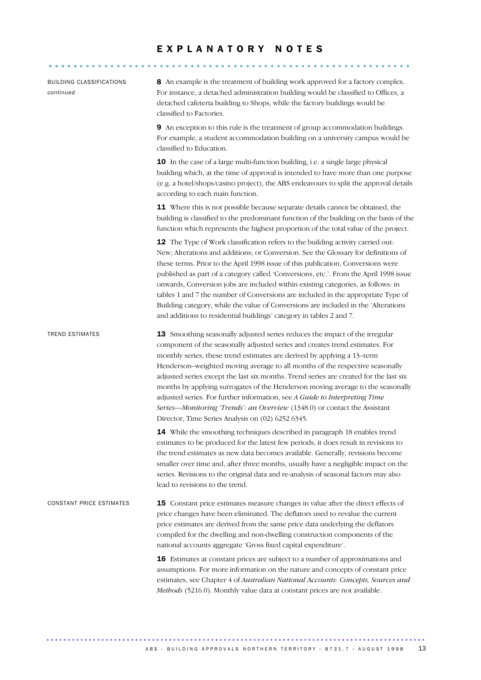#### E X P L A N A T O R Y N O T E S

| <b>BUILDING CLASSIFICATIONS</b><br>continued | 8 An example is the treatment of building work approved for a factory complex.<br>For instance, a detached administration building would be classified to Offices, a<br>detached cafeteria building to Shops, while the factory buildings would be<br>classified to Factories.                                                                                                                                                                                                                                                                                                                                                                                                                                     |
|----------------------------------------------|--------------------------------------------------------------------------------------------------------------------------------------------------------------------------------------------------------------------------------------------------------------------------------------------------------------------------------------------------------------------------------------------------------------------------------------------------------------------------------------------------------------------------------------------------------------------------------------------------------------------------------------------------------------------------------------------------------------------|
|                                              | 9 An exception to this rule is the treatment of group accommodation buildings.<br>For example, a student accommodation building on a university campus would be<br>classified to Education.                                                                                                                                                                                                                                                                                                                                                                                                                                                                                                                        |
|                                              | 10 In the case of a large multi-function building, i.e. a single large physical<br>building which, at the time of approval is intended to have more than one purpose<br>(e.g. a hotel/shops/casino project), the ABS endeavours to split the approval details<br>according to each main function.                                                                                                                                                                                                                                                                                                                                                                                                                  |
|                                              | 11 Where this is not possible because separate details cannot be obtained, the<br>building is classified to the predominant function of the building on the basis of the<br>function which represents the highest proportion of the total value of the project.                                                                                                                                                                                                                                                                                                                                                                                                                                                    |
|                                              | 12 The Type of Work classification refers to the building activity carried out:<br>New; Alterations and additions; or Conversion. See the Glossary for definitions of<br>these terms. Prior to the April 1998 issue of this publication, Conversions were<br>published as part of a category called 'Conversions, etc.'. From the April 1998 issue<br>onwards, Conversion jobs are included within existing categories, as follows: in<br>tables 1 and 7 the number of Conversions are included in the appropriate Type of<br>Building category, while the value of Conversions are included in the 'Alterations<br>and additions to residential buildings' category in tables 2 and 7.                            |
| <b>TREND ESTIMATES</b>                       | 13 Smoothing seasonally adjusted series reduces the impact of the irregular<br>component of the seasonally adjusted series and creates trend estimates. For<br>monthly series, these trend estimates are derived by applying a 13-term<br>Henderson-weighted moving average to all months of the respective seasonally<br>adjusted series except the last six months. Trend series are created for the last six<br>months by applying surrogates of the Henderson moving average to the seasonally<br>adjusted series. For further information, see A Guide to Interpreting Time<br>Series-Monitoring 'Trends': an Overview (1348.0) or contact the Assistant<br>Director, Time Series Analysis on (02) 6252 6345. |
|                                              | 14 While the smoothing techniques described in paragraph 18 enables trend<br>estimates to be produced for the latest few periods, it does result in revisions to<br>the trend estimates as new data becomes available. Generally, revisions become<br>smaller over time and, after three months, usually have a negligible impact on the<br>series. Revisions to the original data and re-analysis of seasonal factors may also<br>lead to revisions to the trend.                                                                                                                                                                                                                                                 |
| CONSTANT PRICE ESTIMATES                     | <b>15</b> Constant price estimates measure changes in value after the direct effects of<br>price changes have been eliminated. The deflators used to revalue the current<br>price estimates are derived from the same price data underlying the deflators<br>compiled for the dwelling and non-dwelling construction components of the<br>national accounts aggregate 'Gross fixed capital expenditure'.                                                                                                                                                                                                                                                                                                           |
|                                              | 16 Estimates at constant prices are subject to a number of approximations and<br>assumptions. For more information on the nature and concepts of constant price<br>estimates, see Chapter 4 of Australian National Accounts: Concepts, Sources and<br>Methods (5216.0). Monthly value data at constant prices are not available.                                                                                                                                                                                                                                                                                                                                                                                   |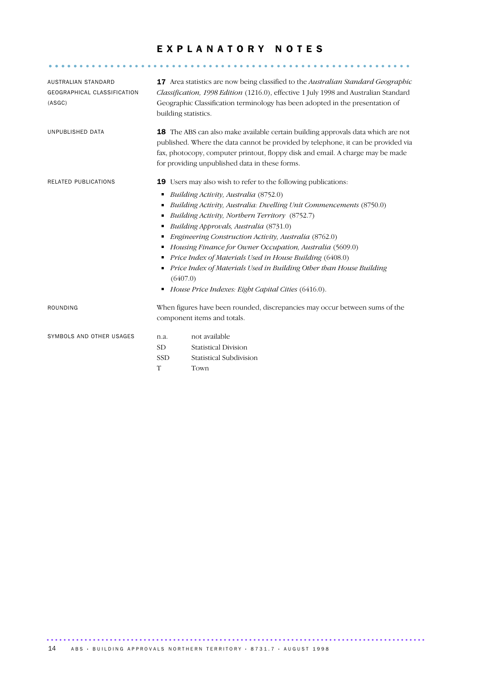#### EXPLANATORY NOTES

........................................................... .....

| AUSTRALIAN STANDARD<br>GEOGRAPHICAL CLASSIFICATION<br>(ASGC) | <b>17</b> Area statistics are now being classified to the <i>Australian Standard Geographic</i><br>Classification, 1998 Edition (1216.0), effective 1 July 1998 and Australian Standard<br>Geographic Classification terminology has been adopted in the presentation of<br>building statistics.                 |                                                                                                                                                                                                                                                                                                                                                                                                                                                                                                                          |  |
|--------------------------------------------------------------|------------------------------------------------------------------------------------------------------------------------------------------------------------------------------------------------------------------------------------------------------------------------------------------------------------------|--------------------------------------------------------------------------------------------------------------------------------------------------------------------------------------------------------------------------------------------------------------------------------------------------------------------------------------------------------------------------------------------------------------------------------------------------------------------------------------------------------------------------|--|
| UNPUBLISHED DATA                                             | <b>18</b> The ABS can also make available certain building approvals data which are not<br>published. Where the data cannot be provided by telephone, it can be provided via<br>fax, photocopy, computer printout, floppy disk and email. A charge may be made<br>for providing unpublished data in these forms. |                                                                                                                                                                                                                                                                                                                                                                                                                                                                                                                          |  |
| RELATED PUBLICATIONS                                         | <b>19</b> Users may also wish to refer to the following publications:                                                                                                                                                                                                                                            |                                                                                                                                                                                                                                                                                                                                                                                                                                                                                                                          |  |
|                                                              | ٠<br>(6407.0)<br>٠                                                                                                                                                                                                                                                                                               | Building Activity, Australia (8752.0)<br>Building Activity, Australia: Dwelling Unit Commencements (8750.0)<br>Building Activity, Northern Territory (8752.7)<br>Building Approvals, Australia (8731.0)<br>Engineering Construction Activity, Australia (8762.0)<br>• Housing Finance for Owner Occupation, Australia (5609.0)<br>Price Index of Materials Used in House Building (6408.0)<br>Price Index of Materials Used in Building Other than House Building<br>House Price Indexes: Eight Capital Cities (6416.0). |  |
| ROUNDING                                                     |                                                                                                                                                                                                                                                                                                                  | When figures have been rounded, discrepancies may occur between sums of the<br>component items and totals.                                                                                                                                                                                                                                                                                                                                                                                                               |  |
| SYMBOLS AND OTHER USAGES                                     | n.a.<br><b>SD</b><br><b>SSD</b>                                                                                                                                                                                                                                                                                  | not available<br><b>Statistical Division</b><br><b>Statistical Subdivision</b>                                                                                                                                                                                                                                                                                                                                                                                                                                           |  |

T Town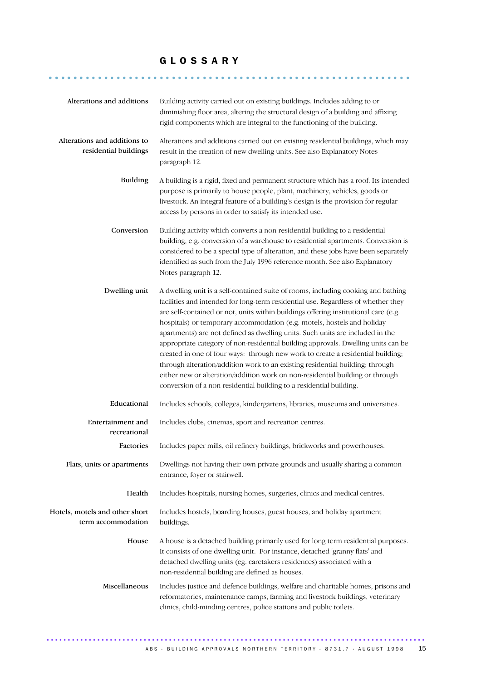#### G L O S S A R Y

........................................................... ......

| Alterations and additions                             | Building activity carried out on existing buildings. Includes adding to or<br>diminishing floor area, altering the structural design of a building and affixing<br>rigid components which are integral to the functioning of the building.                                                                                                                                                                                                                                                                                                                                                                                                                                                                                                                                                                                                 |  |  |
|-------------------------------------------------------|--------------------------------------------------------------------------------------------------------------------------------------------------------------------------------------------------------------------------------------------------------------------------------------------------------------------------------------------------------------------------------------------------------------------------------------------------------------------------------------------------------------------------------------------------------------------------------------------------------------------------------------------------------------------------------------------------------------------------------------------------------------------------------------------------------------------------------------------|--|--|
| Alterations and additions to<br>residential buildings | Alterations and additions carried out on existing residential buildings, which may<br>result in the creation of new dwelling units. See also Explanatory Notes<br>paragraph 12.                                                                                                                                                                                                                                                                                                                                                                                                                                                                                                                                                                                                                                                            |  |  |
| <b>Building</b>                                       | A building is a rigid, fixed and permanent structure which has a roof. Its intended<br>purpose is primarily to house people, plant, machinery, vehicles, goods or<br>livestock. An integral feature of a building's design is the provision for regular<br>access by persons in order to satisfy its intended use.                                                                                                                                                                                                                                                                                                                                                                                                                                                                                                                         |  |  |
| Conversion                                            | Building activity which converts a non-residential building to a residential<br>building, e.g. conversion of a warehouse to residential apartments. Conversion is<br>considered to be a special type of alteration, and these jobs have been separately<br>identified as such from the July 1996 reference month. See also Explanatory<br>Notes paragraph 12.                                                                                                                                                                                                                                                                                                                                                                                                                                                                              |  |  |
| Dwelling unit                                         | A dwelling unit is a self-contained suite of rooms, including cooking and bathing<br>facilities and intended for long-term residential use. Regardless of whether they<br>are self-contained or not, units within buildings offering institutional care (e.g.<br>hospitals) or temporary accommodation (e.g. motels, hostels and holiday<br>apartments) are not defined as dwelling units. Such units are included in the<br>appropriate category of non-residential building approvals. Dwelling units can be<br>created in one of four ways: through new work to create a residential building;<br>through alteration/addition work to an existing residential building; through<br>either new or alteration/addition work on non-residential building or through<br>conversion of a non-residential building to a residential building. |  |  |
| Educational                                           | Includes schools, colleges, kindergartens, libraries, museums and universities.                                                                                                                                                                                                                                                                                                                                                                                                                                                                                                                                                                                                                                                                                                                                                            |  |  |
| Entertainment and<br>recreational                     | Includes clubs, cinemas, sport and recreation centres.                                                                                                                                                                                                                                                                                                                                                                                                                                                                                                                                                                                                                                                                                                                                                                                     |  |  |
| Factories                                             | Includes paper mills, oil refinery buildings, brickworks and powerhouses.                                                                                                                                                                                                                                                                                                                                                                                                                                                                                                                                                                                                                                                                                                                                                                  |  |  |
| Flats, units or apartments                            | Dwellings not having their own private grounds and usually sharing a common<br>entrance, foyer or stairwell.                                                                                                                                                                                                                                                                                                                                                                                                                                                                                                                                                                                                                                                                                                                               |  |  |
| Health                                                | Includes hospitals, nursing homes, surgeries, clinics and medical centres.                                                                                                                                                                                                                                                                                                                                                                                                                                                                                                                                                                                                                                                                                                                                                                 |  |  |
| Hotels, motels and other short<br>term accommodation  | Includes hostels, boarding houses, guest houses, and holiday apartment<br>buildings.                                                                                                                                                                                                                                                                                                                                                                                                                                                                                                                                                                                                                                                                                                                                                       |  |  |
| House                                                 | A house is a detached building primarily used for long term residential purposes.<br>It consists of one dwelling unit. For instance, detached 'granny flats' and<br>detached dwelling units (eg. caretakers residences) associated with a<br>non-residential building are defined as houses.                                                                                                                                                                                                                                                                                                                                                                                                                                                                                                                                               |  |  |
| Miscellaneous                                         | Includes justice and defence buildings, welfare and charitable homes, prisons and<br>reformatories, maintenance camps, farming and livestock buildings, veterinary<br>clinics, child-minding centres, police stations and public toilets.                                                                                                                                                                                                                                                                                                                                                                                                                                                                                                                                                                                                  |  |  |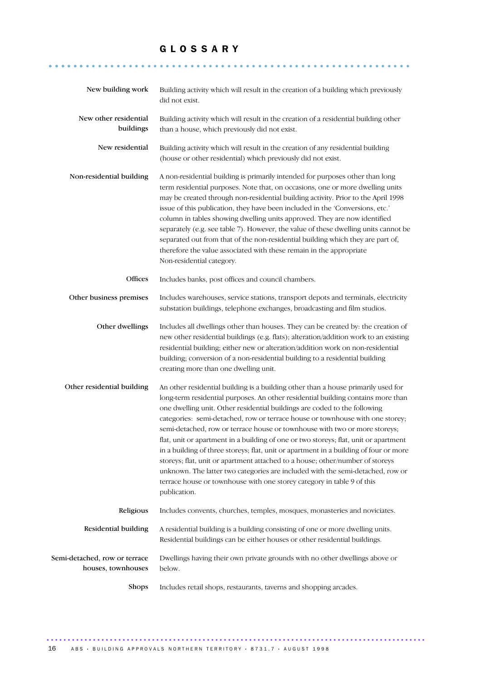#### G L O S S A R Y

........................................................... ......

| New building work                                   | Building activity which will result in the creation of a building which previously<br>did not exist.                                                                                                                                                                                                                                                                                                                                                                                                                                                                                                                                                                                                                                                                                                                                                            |  |
|-----------------------------------------------------|-----------------------------------------------------------------------------------------------------------------------------------------------------------------------------------------------------------------------------------------------------------------------------------------------------------------------------------------------------------------------------------------------------------------------------------------------------------------------------------------------------------------------------------------------------------------------------------------------------------------------------------------------------------------------------------------------------------------------------------------------------------------------------------------------------------------------------------------------------------------|--|
| New other residential<br>buildings                  | Building activity which will result in the creation of a residential building other<br>than a house, which previously did not exist.                                                                                                                                                                                                                                                                                                                                                                                                                                                                                                                                                                                                                                                                                                                            |  |
| New residential                                     | Building activity which will result in the creation of any residential building<br>(house or other residential) which previously did not exist.                                                                                                                                                                                                                                                                                                                                                                                                                                                                                                                                                                                                                                                                                                                 |  |
| Non-residential building                            | A non-residential building is primarily intended for purposes other than long<br>term residential purposes. Note that, on occasions, one or more dwelling units<br>may be created through non-residential building activity. Prior to the April 1998<br>issue of this publication, they have been included in the 'Conversions, etc.'<br>column in tables showing dwelling units approved. They are now identified<br>separately (e.g. see table 7). However, the value of these dwelling units cannot be<br>separated out from that of the non-residential building which they are part of,<br>therefore the value associated with these remain in the appropriate<br>Non-residential category.                                                                                                                                                                |  |
| Offices                                             | Includes banks, post offices and council chambers.                                                                                                                                                                                                                                                                                                                                                                                                                                                                                                                                                                                                                                                                                                                                                                                                              |  |
| Other business premises                             | Includes warehouses, service stations, transport depots and terminals, electricity<br>substation buildings, telephone exchanges, broadcasting and film studios.                                                                                                                                                                                                                                                                                                                                                                                                                                                                                                                                                                                                                                                                                                 |  |
| Other dwellings                                     | Includes all dwellings other than houses. They can be created by: the creation of<br>new other residential buildings (e.g. flats); alteration/addition work to an existing<br>residential building; either new or alteration/addition work on non-residential<br>building; conversion of a non-residential building to a residential building<br>creating more than one dwelling unit.                                                                                                                                                                                                                                                                                                                                                                                                                                                                          |  |
| Other residential building                          | An other residential building is a building other than a house primarily used for<br>long-term residential purposes. An other residential building contains more than<br>one dwelling unit. Other residential buildings are coded to the following<br>categories: semi-detached, row or terrace house or townhouse with one storey;<br>semi-detached, row or terrace house or townhouse with two or more storeys;<br>flat, unit or apartment in a building of one or two storeys; flat, unit or apartment<br>in a building of three storeys; flat, unit or apartment in a building of four or more<br>storeys; flat, unit or apartment attached to a house; other/number of storeys<br>unknown. The latter two categories are included with the semi-detached, row or<br>terrace house or townhouse with one storey category in table 9 of this<br>publication. |  |
| Religious                                           | Includes convents, churches, temples, mosques, monasteries and noviciates.                                                                                                                                                                                                                                                                                                                                                                                                                                                                                                                                                                                                                                                                                                                                                                                      |  |
| Residential building                                | A residential building is a building consisting of one or more dwelling units.<br>Residential buildings can be either houses or other residential buildings.                                                                                                                                                                                                                                                                                                                                                                                                                                                                                                                                                                                                                                                                                                    |  |
| Semi-detached, row or terrace<br>houses, townhouses | Dwellings having their own private grounds with no other dwellings above or<br>below.                                                                                                                                                                                                                                                                                                                                                                                                                                                                                                                                                                                                                                                                                                                                                                           |  |
| <b>Shops</b>                                        | Includes retail shops, restaurants, taverns and shopping arcades.                                                                                                                                                                                                                                                                                                                                                                                                                                                                                                                                                                                                                                                                                                                                                                                               |  |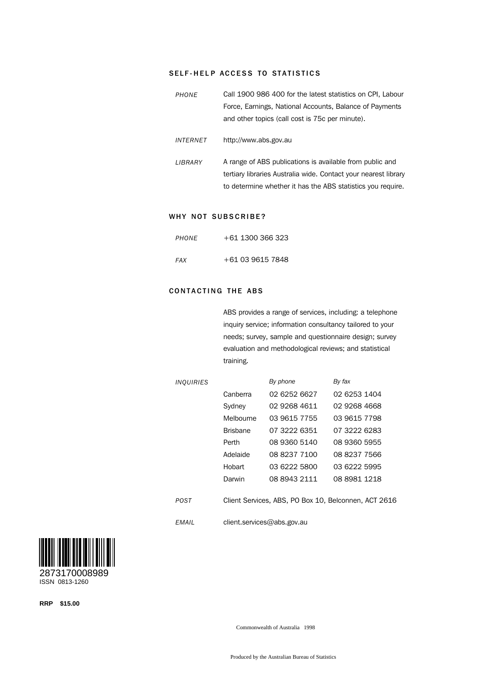#### SELF-HELP ACCESS TO STATISTICS

| PHONE           | Call 1900 986 400 for the latest statistics on CPI, Labour<br>Force, Earnings, National Accounts, Balance of Payments<br>and other topics (call cost is 75c per minute).                   |
|-----------------|--------------------------------------------------------------------------------------------------------------------------------------------------------------------------------------------|
| <b>INTERNET</b> | http://www.abs.gov.au                                                                                                                                                                      |
| LIBRARY         | A range of ABS publications is available from public and<br>tertiary libraries Australia wide. Contact your nearest library<br>to determine whether it has the ABS statistics you require. |

#### WHY NOT SUBSCRIBE?

| PHONE | $+61$ 1300 366 323 |
|-------|--------------------|
| FAX   | +61 03 9615 7848   |

#### **CONTACTING THE ABS**

ABS provides a range of services, including: a telephone inquiry service; information consultancy tailored to your needs; survey, sample and questionnaire design; survey evaluation and methodological reviews; and statistical training.

| <b>INQUIRIES</b> |                                                      | By phone     | By fax       |  |  |
|------------------|------------------------------------------------------|--------------|--------------|--|--|
|                  | Canberra                                             | 02 6252 6627 | 02 6253 1404 |  |  |
|                  | Sydney                                               | 02 9268 4611 | 02 9268 4668 |  |  |
|                  | Melbourne                                            | 03 9615 7755 | 03 9615 7798 |  |  |
|                  | <b>Brisbane</b>                                      | 07 3222 6351 | 07 3222 6283 |  |  |
|                  | Perth                                                | 08 9360 5140 | 08 9360 5955 |  |  |
|                  | Adelaide                                             | 08 8237 7100 | 08 8237 7566 |  |  |
|                  | Hobart                                               | 03 6222 5800 | 03 6222 5995 |  |  |
|                  | Darwin                                               | 08 8943 2111 | 08 8981 1218 |  |  |
| POST             | Client Services, ABS, PO Box 10, Belconnen, ACT 2616 |              |              |  |  |
| EMAIL            | client.services@abs.gov.au                           |              |              |  |  |



**RRP \$15.00**

Commonwealth of Australia 1998